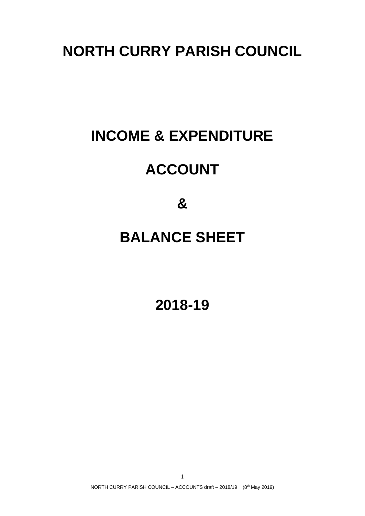# **INCOME & EXPENDITURE**

## **ACCOUNT**

**&**

### **BALANCE SHEET**

**2018-19**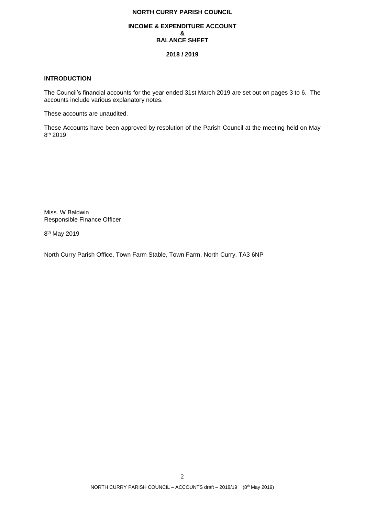#### **INCOME & EXPENDITURE ACCOUNT & BALANCE SHEET**

#### **2018 / 2019**

#### **INTRODUCTION**

The Council's financial accounts for the year ended 31st March 2019 are set out on pages 3 to 6. The accounts include various explanatory notes.

These accounts are unaudited.

These Accounts have been approved by resolution of the Parish Council at the meeting held on May 8 th 2019

Miss. W Baldwin Responsible Finance Officer

8<sup>th</sup> May 2019

North Curry Parish Office, Town Farm Stable, Town Farm, North Curry, TA3 6NP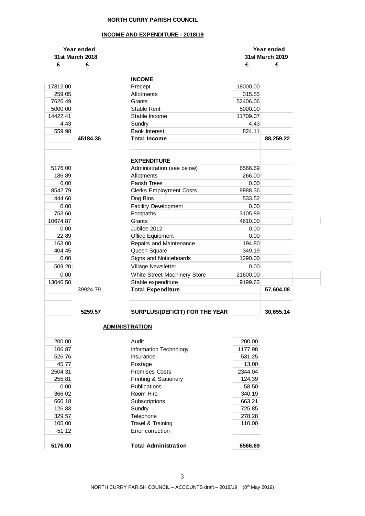#### **INCOME AND EXPENDITURE - 2018/19**

| Year ended<br>31st March 2018 |          | Year ended<br>31st March 2019    |          |           |
|-------------------------------|----------|----------------------------------|----------|-----------|
| £                             | £        |                                  | £        | £         |
|                               |          |                                  |          |           |
|                               |          | <b>INCOME</b>                    |          |           |
| 17312.00                      |          | Precept                          | 18000.00 |           |
| 259.05                        |          | Allotments                       | 315.55   |           |
| 7626.49                       |          | Grants                           | 52406.06 |           |
| 5000.00                       |          | Stable Rent                      | 5000.00  |           |
| 14422.41                      |          | Stable Income                    | 11709.07 |           |
| 4.43                          |          | Sundry<br><b>Bank Interest</b>   | 4.43     |           |
| 559.98                        | 45184.36 | <b>Total Income</b>              | 824.11   |           |
|                               |          |                                  |          | 88,259.22 |
|                               |          |                                  |          |           |
|                               |          | <b>EXPENDITURE</b>               |          |           |
| 5176.00                       |          | Administration (see below)       | 6566.69  |           |
| 186.89                        |          | Allotments                       | 266.00   |           |
| 0.00                          |          | <b>Parish Trees</b>              | 0.00     |           |
| 8542.79                       |          | <b>Clerks Employment Costs</b>   | 9888.36  |           |
| 444.60                        |          | Dog Bins                         | 533.52   |           |
| 0.00                          |          | <b>Facility Development</b>      | 0.00     |           |
| 753.60                        |          | Footpaths                        | 3105.89  |           |
| 10674.87                      |          | Grants                           | 4610.00  |           |
| 0.00                          |          | Jubilee 2012                     | 0.00     |           |
| 22.89                         |          | Office Equipment                 | 0.00     |           |
| 163.00                        |          | Repairs and Maintenance          | 194.80   |           |
| 404.45                        |          | Queen Square                     | 349.19   |           |
| 0.00                          |          | Signs and Noticeboards           | 1290.00  |           |
| 509.20                        |          | Village Newsletter               | 0.00     |           |
|                               |          |                                  |          |           |
| 0.00                          |          | White Street Machinery Store     | 21600.00 |           |
| 13046.50                      | 39924.79 | Stable expenditure               | 9199.63  | 57,604.08 |
|                               |          | <b>Total Expenditure</b>         |          |           |
|                               |          |                                  |          |           |
|                               | 5259.57  | SURPLUS/(DEFICIT) FOR THE YEAR   |          | 30,655.14 |
|                               |          |                                  |          |           |
|                               |          | <b>ADMINISTRATION</b>            |          |           |
|                               |          |                                  |          |           |
| 200.00                        |          | Audit                            | 200.00   |           |
| 106.87                        |          | Information Technology           | 1177.98  |           |
| 526.76                        |          | Insurance                        | 531.25   |           |
| 45.77                         |          | Postage                          | 13.00    |           |
| 2504.31                       |          | <b>Premises Costs</b>            | 2344.04  |           |
| 255.81                        |          | <b>Printing &amp; Stationery</b> | 124.39   |           |
| 0.00                          |          | Publications                     | 58.50    |           |
| 366.02                        |          | Room Hire                        | 340.19   |           |
| 660.18                        |          | Subscriptions                    | 663.21   |           |
| 126.83                        |          | Sundry                           | 725.85   |           |
| 329.57                        |          | Telephone                        | 278.28   |           |
| 105.00                        |          | Travel & Training                | 110.00   |           |
| $-51.12$                      |          | Error correction                 |          |           |
|                               |          |                                  |          |           |
| 5176.00                       |          | <b>Total Administration</b>      | 6566.69  |           |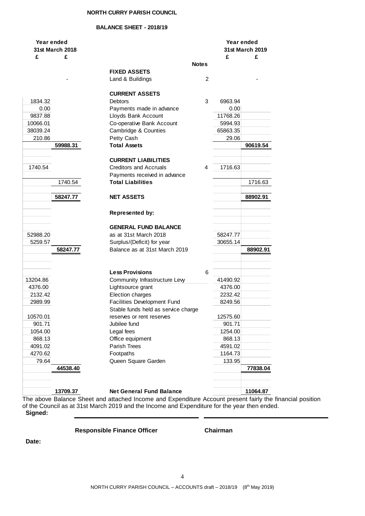#### **BALANCE SHEET - 2018/19**

| Year ended      |          |                                     |   | Year ended |                 |
|-----------------|----------|-------------------------------------|---|------------|-----------------|
| 31st March 2018 |          |                                     |   |            | 31st March 2019 |
| £               | £        |                                     |   | £          | £               |
|                 |          | <b>Notes</b>                        |   |            |                 |
|                 |          | <b>FIXED ASSETS</b>                 |   |            |                 |
|                 |          | Land & Buildings                    | 2 |            |                 |
|                 |          |                                     |   |            |                 |
|                 |          | <b>CURRENT ASSETS</b>               |   |            |                 |
| 1834.32         |          | <b>Debtors</b>                      | 3 | 6963.94    |                 |
| 0.00            |          | Payments made in advance            |   | 0.00       |                 |
| 9837.88         |          | Lloyds Bank Account                 |   | 11768.26   |                 |
| 10066.01        |          | Co-operative Bank Account           |   | 5994.93    |                 |
|                 |          |                                     |   |            |                 |
| 38039.24        |          | Cambridge & Counties                |   | 65863.35   |                 |
| 210.86          |          | Petty Cash                          |   | 29.06      |                 |
|                 | 59988.31 | <b>Total Assets</b>                 |   |            | 90619.54        |
|                 |          |                                     |   |            |                 |
|                 |          | <b>CURRENT LIABILITIES</b>          |   |            |                 |
| 1740.54         |          | <b>Creditors and Accruals</b>       | 4 | 1716.63    |                 |
|                 |          | Payments received in advance        |   |            |                 |
|                 | 1740.54  | <b>Total Liabilities</b>            |   |            | 1716.63         |
|                 |          |                                     |   |            |                 |
|                 | 58247.77 | <b>NET ASSETS</b>                   |   |            | 88902.91        |
|                 |          |                                     |   |            |                 |
|                 |          | Represented by:                     |   |            |                 |
|                 |          |                                     |   |            |                 |
|                 |          | <b>GENERAL FUND BALANCE</b>         |   |            |                 |
| 52988.20        |          | as at 31st March 2018               |   | 58247.77   |                 |
| 5259.57         |          | Surplus/(Deficit) for year          |   | 30655.14   |                 |
|                 |          |                                     |   |            |                 |
|                 | 58247.77 | Balance as at 31st March 2019       |   |            | 88902.91        |
|                 |          |                                     |   |            |                 |
|                 |          |                                     |   |            |                 |
|                 |          | <b>Less Provisions</b>              | 6 |            |                 |
| 13204.86        |          | Community Infrastructure Levy       |   | 41490.92   |                 |
| 4376.00         |          | Lightsource grant                   |   | 4376.00    |                 |
| 2132.42         |          | Election charges                    |   | 2232.42    |                 |
| 2989.99         |          | <b>Facilities Development Fund</b>  |   | 8249.56    |                 |
|                 |          | Stable funds held as service charge |   |            |                 |
| 10570.01        |          | reserves or rent reserves           |   | 12575.60   |                 |
| 901.71          |          | Jubilee fund                        |   | 901.71     |                 |
| 1054.00         |          | Legal fees                          |   | 1254.00    |                 |
| 868.13          |          | Office equipment                    |   | 868.13     |                 |
| 4091.02         |          | Parish Trees                        |   | 4591.02    |                 |
| 4270.62         |          | Footpaths                           |   | 1164.73    |                 |
| 79.64           |          | Queen Square Garden                 |   | 133.95     |                 |
|                 | 44538.40 |                                     |   |            | 77838.04        |
|                 |          |                                     |   |            |                 |
|                 |          |                                     |   |            |                 |
|                 |          |                                     |   |            |                 |
|                 | 13709.37 | <b>Net General Fund Balance</b>     |   |            | 11064.87        |

The above Balance Sheet and attached Income and Expenditure Account present fairly the financial position of the Council as at 31st March 2019 and the Income and Expenditure for the year then ended. **Signed:**

**Responsible Finance Officer Chairman**

**Date:**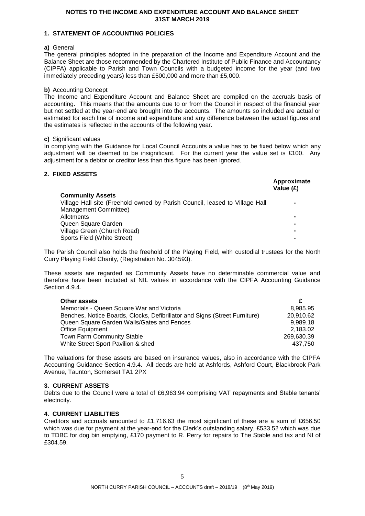#### **NOTES TO THE INCOME AND EXPENDITURE ACCOUNT AND BALANCE SHEET 31ST MARCH 2019**

#### **1. STATEMENT OF ACCOUNTING POLICIES**

#### **a)** General

The general principles adopted in the preparation of the Income and Expenditure Account and the Balance Sheet are those recommended by the Chartered Institute of Public Finance and Accountancy (CIPFA) applicable to Parish and Town Councils with a budgeted income for the year (and two immediately preceding years) less than £500,000 and more than £5,000.

#### **b)** Accounting Concept

The Income and Expenditure Account and Balance Sheet are compiled on the accruals basis of accounting. This means that the amounts due to or from the Council in respect of the financial year but not settled at the year-end are brought into the accounts. The amounts so included are actual or estimated for each line of income and expenditure and any difference between the actual figures and the estimates is reflected in the accounts of the following year.

#### **c)** Significant values

In complying with the Guidance for Local Council Accounts a value has to be fixed below which any adjustment will be deemed to be insignificant. For the current year the value set is £100. Any adjustment for a debtor or creditor less than this figure has been ignored.

### **2. FIXED ASSETS**

| Approximate<br>Value (£) |
|--------------------------|
|                          |
|                          |
|                          |
|                          |
|                          |
|                          |
|                          |
|                          |

The Parish Council also holds the freehold of the Playing Field, with custodial trustees for the North Curry Playing Field Charity, (Registration No. 304593).

These assets are regarded as Community Assets have no determinable commercial value and therefore have been included at NIL values in accordance with the CIPFA Accounting Guidance Section 4.9.4.

| Other assets                                                               |            |
|----------------------------------------------------------------------------|------------|
| Memorials - Queen Square War and Victoria                                  | 8.985.95   |
| Benches, Notice Boards, Clocks, Defibrillator and Signs (Street Furniture) | 20.910.62  |
| Queen Square Garden Walls/Gates and Fences                                 | 9.989.18   |
| Office Equipment                                                           | 2.183.02   |
| <b>Town Farm Community Stable</b>                                          | 269.630.39 |
| White Street Sport Pavilion & shed                                         | 437.750    |

The valuations for these assets are based on insurance values, also in accordance with the CIPFA Accounting Guidance Section 4.9.4. All deeds are held at Ashfords, Ashford Court, Blackbrook Park Avenue, Taunton, Somerset TA1 2PX

#### **3. CURRENT ASSETS**

Debts due to the Council were a total of £6,963.94 comprising VAT repayments and Stable tenants' electricity.

#### **4. CURRENT LIABILITIES**

Creditors and accruals amounted to £1,716.63 the most significant of these are a sum of £656.50 which was due for payment at the year-end for the Clerk's outstanding salary, £533.52 which was due to TDBC for dog bin emptying, £170 payment to R. Perry for repairs to The Stable and tax and NI of £304.59.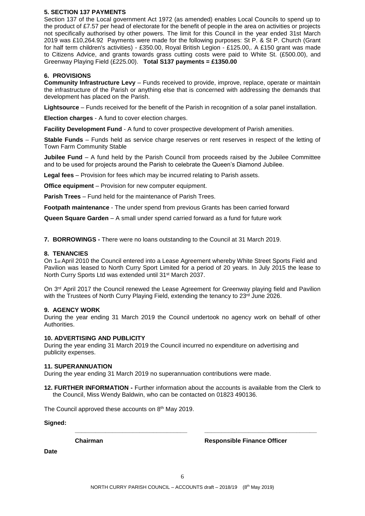#### **5. SECTION 137 PAYMENTS**

Section 137 of the Local government Act 1972 (as amended) enables Local Councils to spend up to the product of £7.57 per head of electorate for the benefit of people in the area on activities or projects not specifically authorised by other powers. The limit for this Council in the year ended 31st March 2019 was £10,264.92 Payments were made for the following purposes: St P. & St P. Church (Grant for half term children's activities) - £350.00, Royal British Legion - £125.00,. A £150 grant was made to Citizens Advice, and grants towards grass cutting costs were paid to White St. (£500.00), and Greenway Playing Field (£225.00). **Total S137 payments = £1350.00**

#### **6. PROVISIONS**

**Community Infrastructure Levy** – Funds received to provide, improve, replace, operate or maintain the infrastructure of the Parish or anything else that is concerned with addressing the demands that development has placed on the Parish.

**Lightsource** – Funds received for the benefit of the Parish in recognition of a solar panel installation.

**Election charges** - A fund to cover election charges.

**Facility Development Fund** - A fund to cover prospective development of Parish amenities.

**Stable Funds** – Funds held as service charge reserves or rent reserves in respect of the letting of Town Farm Community Stable

**Jubilee Fund** – A fund held by the Parish Council from proceeds raised by the Jubilee Committee and to be used for projects around the Parish to celebrate the Queen's Diamond Jubilee*.*

**Legal fees** – Provision for fees which may be incurred relating to Parish assets.

**Office equipment** – Provision for new computer equipment.

**Parish Trees** – Fund held for the maintenance of Parish Trees.

**Footpath maintenance** - The under spend from previous Grants has been carried forward

**Queen Square Garden** – A small under spend carried forward as a fund for future work

**7. BORROWINGS -** There were no loans outstanding to the Council at 31 March 2019.

#### **8. TENANCIES**

On 1st April 2010 the Council entered into a Lease Agreement whereby White Street Sports Field and Pavilion was leased to North Curry Sport Limited for a period of 20 years. In July 2015 the lease to North Curry Sports Ltd was extended until 31<sup>st</sup> March 2037.

On 3<sup>rd</sup> April 2017 the Council renewed the Lease Agreement for Greenway playing field and Pavilion with the Trustees of North Curry Playing Field, extending the tenancy to 23rd June 2026.

#### **9. AGENCY WORK**

During the year ending 31 March 2019 the Council undertook no agency work on behalf of other Authorities.

#### **10. ADVERTISING AND PUBLICITY**

During the year ending 31 March 2019 the Council incurred no expenditure on advertising and publicity expenses.

#### **11. SUPERANNUATION**

During the year ending 31 March 2019 no superannuation contributions were made.

**12. FURTHER INFORMATION -** Further information about the accounts is available from the Clerk to the Council, Miss Wendy Baldwin, who can be contacted on 01823 490136.

**\_\_\_\_\_\_\_\_\_\_\_\_\_\_\_\_\_\_\_\_\_\_\_\_\_\_\_\_\_\_\_\_\_ \_\_\_\_\_\_\_\_\_\_\_\_\_\_\_\_\_\_\_\_\_\_\_\_\_\_\_\_\_\_\_\_\_**

The Council approved these accounts on 8<sup>th</sup> May 2019.

**Signed:**

**Chairman Responsible Finance Officer**

**Date**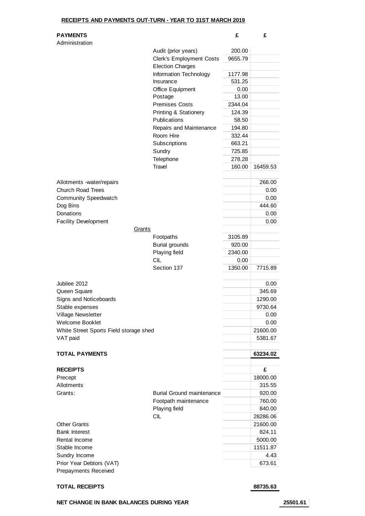#### **RECEIPTS AND PAYMENTS OUT-TURN - YEAR TO 31ST MARCH 2019**

| <b>PAYMENTS</b> |  |  |
|-----------------|--|--|
|-----------------|--|--|

| Administration                         |                                  |         |          |
|----------------------------------------|----------------------------------|---------|----------|
|                                        | Audit (prior years)              | 200.00  |          |
|                                        | <b>Clerk's Employment Costs</b>  | 9655.79 |          |
|                                        | <b>Election Charges</b>          |         |          |
|                                        | Information Technology           | 1177.98 |          |
|                                        | Insurance                        | 531.25  |          |
|                                        | <b>Office Equipment</b>          | 0.00    |          |
|                                        | Postage                          | 13.00   |          |
|                                        | <b>Premises Costs</b>            | 2344.04 |          |
|                                        | <b>Printing &amp; Stationery</b> | 124.39  |          |
|                                        | Publications                     | 58.50   |          |
|                                        | Repairs and Maintenance          | 194.80  |          |
|                                        | Room Hire                        | 332.44  |          |
|                                        | Subscriptions                    | 663.21  |          |
|                                        | Sundry                           | 725.85  |          |
|                                        | Telephone                        | 278.28  |          |
|                                        | <b>Travel</b>                    | 160.00  | 16459.53 |
| Allotments -water/repairs              |                                  |         | 266.00   |
| <b>Church Road Trees</b>               |                                  |         | 0.00     |
| <b>Community Speedwatch</b>            |                                  |         | 0.00     |
| Dog Bins                               |                                  |         | 444.60   |
| Donations                              |                                  |         | 0.00     |
| <b>Facility Development</b>            |                                  |         | 0.00     |
| Grants                                 |                                  |         |          |
|                                        | Footpaths                        | 3105.89 |          |
|                                        | <b>Burial grounds</b>            | 920.00  |          |
|                                        | Playing field                    | 2340.00 |          |
|                                        | <b>CIL</b>                       | 0.00    |          |
|                                        | Section 137                      | 1350.00 | 7715.89  |
|                                        |                                  |         |          |
| Jubilee 2012                           |                                  |         | 0.00     |
| Queen Square                           |                                  |         | 345.69   |
| Signs and Noticeboards                 |                                  |         | 1290.00  |
| Stable expenses                        |                                  |         | 9730.64  |
| Village Newsletter                     |                                  |         | 0.00     |
| Welcome Booklet                        |                                  |         | 0.00     |
| White Street Sports Field storage shed |                                  |         | 21600.00 |
| VAT paid                               |                                  |         | 5381.67  |
| <b>TOTAL PAYMENTS</b>                  |                                  |         | 63234.02 |
|                                        |                                  |         |          |
| <b>RECEIPTS</b>                        |                                  |         | £        |
| Precept                                |                                  |         | 18000.00 |
| Allotments                             |                                  |         | 315.55   |
| Grants:                                | <b>Burial Ground maintenance</b> |         | 920.00   |
|                                        | Footpath maintenance             |         | 760.00   |
|                                        | Playing field                    |         | 840.00   |
|                                        | <b>CIL</b>                       |         | 28286.06 |
| <b>Other Grants</b>                    |                                  |         | 21600.00 |
| <b>Bank Interest</b>                   |                                  |         | 824.11   |
| Rental Income                          |                                  |         | 5000.00  |
| Stable Income                          |                                  |         | 11511.87 |
| Sundry Income                          |                                  |         | 4.43     |
| Prior Year Debtors (VAT)               |                                  |         | 673.61   |
| Prepayments Received                   |                                  |         |          |

#### **TOTAL RECEIPTS 88735.63**

88735.63

**NET CHANGE IN BANK BALANCES DURING YEAR 25501.61**